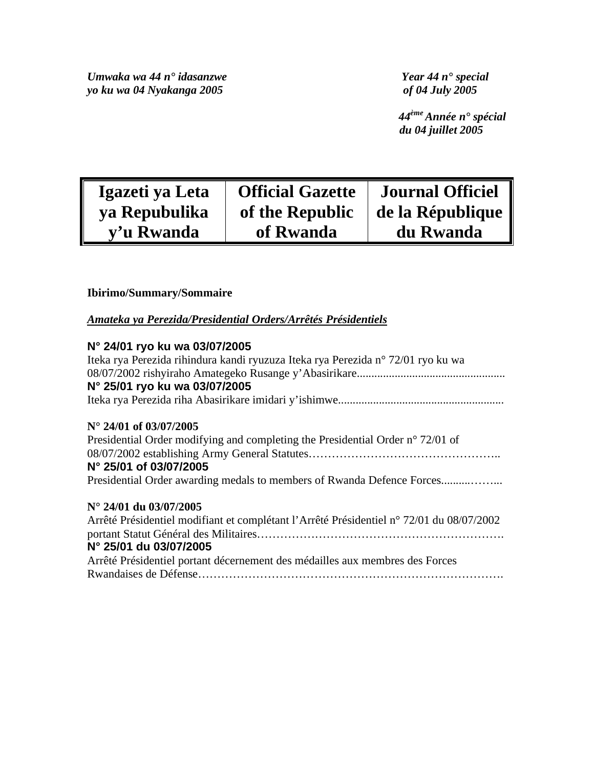*Umwaka wa 44 n° idasanzwe Year 44 n° special yo ku wa 04 Nyakanga 2005 of 04 July 2005* 

 *44ème Année n° spécial du 04 juillet 2005* 

| Igazeti ya Leta | <b>Official Gazette</b> | <b>Journal Officiel</b> |
|-----------------|-------------------------|-------------------------|
| ya Repubulika   | of the Republic         | de la République        |
| v'u Rwanda      | of Rwanda               | du Rwanda               |

# **Ibirimo/Summary/Sommaire**

*Amateka ya Perezida/Presidential Orders/Arrêtés Présidentiels*

# **N° 24/01 ryo ku wa 03/07/2005**

| Iteka rya Perezida rihindura kandi ryuzuza Iteka rya Perezida n° 72/01 ryo ku wa         |
|------------------------------------------------------------------------------------------|
|                                                                                          |
| N° 25/01 ryo ku wa 03/07/2005                                                            |
|                                                                                          |
| $N^{\circ}$ 24/01 of 03/07/2005                                                          |
| Presidential Order modifying and completing the Presidential Order n° 72/01 of           |
|                                                                                          |
| N° 25/01 of 03/07/2005                                                                   |
| Presidential Order awarding medals to members of Rwanda Defence Forces                   |
| $N^{\circ}$ 24/01 du 03/07/2005                                                          |
| Arrêté Présidentiel modifiant et complétant l'Arrêté Présidentiel n° 72/01 du 08/07/2002 |
|                                                                                          |
| N° 25/01 du 03/07/2005                                                                   |
| Arrêté Présidentiel portant décernement des médailles aux membres des Forces             |
|                                                                                          |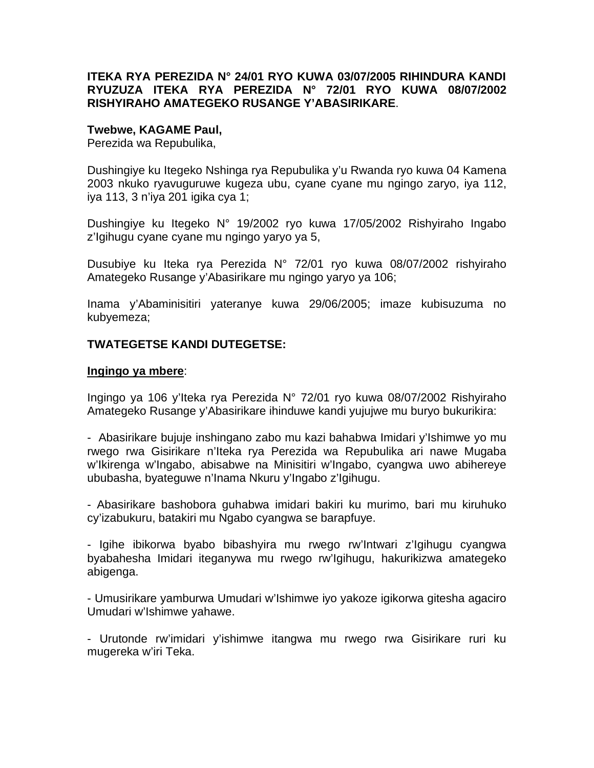# **ITEKA RYA PEREZIDA N° 24/01 RYO KUWA 03/07/2005 RIHINDURA KANDI RYUZUZA ITEKA RYA PEREZIDA N° 72/01 RYO KUWA 08/07/2002 RISHYIRAHO AMATEGEKO RUSANGE Y'ABASIRIKARE**.

#### **Twebwe, KAGAME Paul,**

Perezida wa Repubulika,

Dushingiye ku Itegeko Nshinga rya Repubulika y'u Rwanda ryo kuwa 04 Kamena 2003 nkuko ryavuguruwe kugeza ubu, cyane cyane mu ngingo zaryo, iya 112, iya 113, 3 n'iya 201 igika cya 1;

Dushingiye ku Itegeko N° 19/2002 ryo kuwa 17/05/2002 Rishyiraho Ingabo z'Igihugu cyane cyane mu ngingo yaryo ya 5,

Dusubiye ku Iteka rya Perezida N° 72/01 ryo kuwa 08/07/2002 rishyiraho Amategeko Rusange y'Abasirikare mu ngingo yaryo ya 106;

Inama y'Abaminisitiri yateranye kuwa 29/06/2005; imaze kubisuzuma no kubyemeza;

# **TWATEGETSE KANDI DUTEGETSE:**

#### **Ingingo ya mbere**:

Ingingo ya 106 y'Iteka rya Perezida N° 72/01 ryo kuwa 08/07/2002 Rishyiraho Amategeko Rusange y'Abasirikare ihinduwe kandi yujujwe mu buryo bukurikira:

- Abasirikare bujuje inshingano zabo mu kazi bahabwa Imidari y'Ishimwe yo mu rwego rwa Gisirikare n'Iteka rya Perezida wa Repubulika ari nawe Mugaba w'Ikirenga w'Ingabo, abisabwe na Minisitiri w'Ingabo, cyangwa uwo abihereye ububasha, byateguwe n'Inama Nkuru y'Ingabo z'Igihugu.

- Abasirikare bashobora guhabwa imidari bakiri ku murimo, bari mu kiruhuko cy'izabukuru, batakiri mu Ngabo cyangwa se barapfuye.

- Igihe ibikorwa byabo bibashyira mu rwego rw'Intwari z'Igihugu cyangwa byabahesha Imidari iteganywa mu rwego rw'Igihugu, hakurikizwa amategeko abigenga.

- Umusirikare yamburwa Umudari w'Ishimwe iyo yakoze igikorwa gitesha agaciro Umudari w'Ishimwe yahawe.

- Urutonde rw'imidari y'ishimwe itangwa mu rwego rwa Gisirikare ruri ku mugereka w'iri Teka.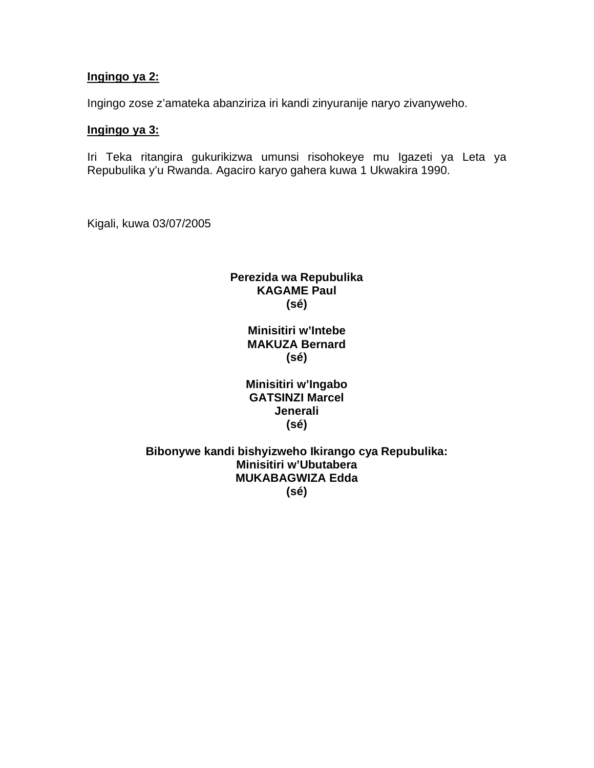# **Ingingo ya 2:**

Ingingo zose z'amateka abanziriza iri kandi zinyuranije naryo zivanyweho.

### **Ingingo ya 3:**

Iri Teka ritangira gukurikizwa umunsi risohokeye mu Igazeti ya Leta ya Repubulika y'u Rwanda. Agaciro karyo gahera kuwa 1 Ukwakira 1990.

Kigali, kuwa 03/07/2005

# **Perezida wa Repubulika KAGAME Paul (sé)**

**Minisitiri w'Intebe MAKUZA Bernard (sé)** 

| Minisitiri w'Ingabo    |  |  |
|------------------------|--|--|
| <b>GATSINZI Marcel</b> |  |  |
| Jenerali               |  |  |
| (sé)                   |  |  |

**Bibonywe kandi bishyizweho Ikirango cya Repubulika: Minisitiri w'Ubutabera MUKABAGWIZA Edda (sé)**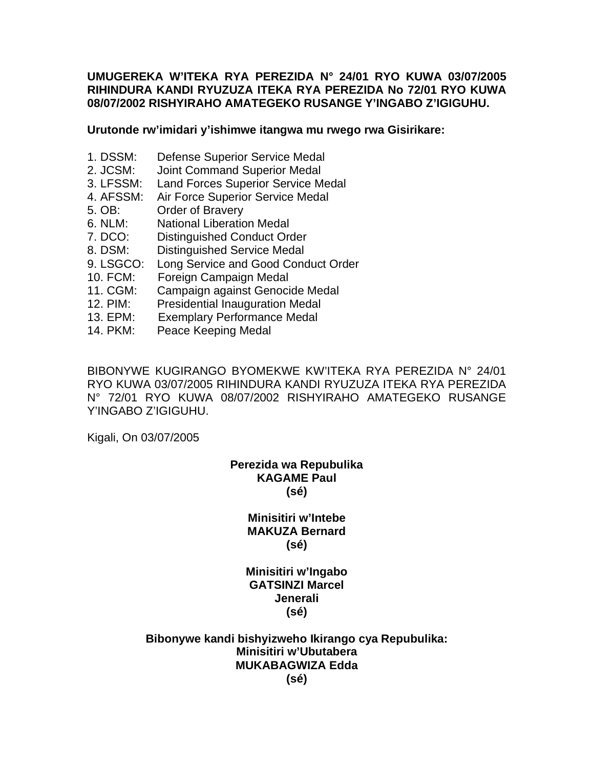### **UMUGEREKA W'ITEKA RYA PEREZIDA N° 24/01 RYO KUWA 03/07/2005 RIHINDURA KANDI RYUZUZA ITEKA RYA PEREZIDA No 72/01 RYO KUWA 08/07/2002 RISHYIRAHO AMATEGEKO RUSANGE Y'INGABO Z'IGIGUHU.**

#### **Urutonde rw'imidari y'ishimwe itangwa mu rwego rwa Gisirikare:**

- 1. DSSM: Defense Superior Service Medal
- 2. JCSM: Joint Command Superior Medal
- 3. LFSSM: Land Forces Superior Service Medal
- 4. AFSSM: Air Force Superior Service Medal
- 5. OB: Order of Bravery
- 6. NLM: National Liberation Medal
- 7. DCO: Distinguished Conduct Order
- 8. DSM: Distinguished Service Medal
- 9. LSGCO: Long Service and Good Conduct Order
- 10. FCM: Foreign Campaign Medal
- 11. CGM: Campaign against Genocide Medal
- 12. PIM: Presidential Inauguration Medal
- 13. EPM: Exemplary Performance Medal
- 14. PKM: Peace Keeping Medal

BIBONYWE KUGIRANGO BYOMEKWE KW'ITEKA RYA PEREZIDA N° 24/01 RYO KUWA 03/07/2005 RIHINDURA KANDI RYUZUZA ITEKA RYA PEREZIDA N° 72/01 RYO KUWA 08/07/2002 RISHYIRAHO AMATEGEKO RUSANGE Y'INGABO Z'IGIGUHU.

Kigali, On 03/07/2005

# **Perezida wa Repubulika KAGAME Paul (sé)**

# **Minisitiri w'Intebe MAKUZA Bernard (sé)**

# **Minisitiri w'Ingabo GATSINZI Marcel Jenerali (sé)**

#### **Bibonywe kandi bishyizweho Ikirango cya Repubulika: Minisitiri w'Ubutabera MUKABAGWIZA Edda (sé)**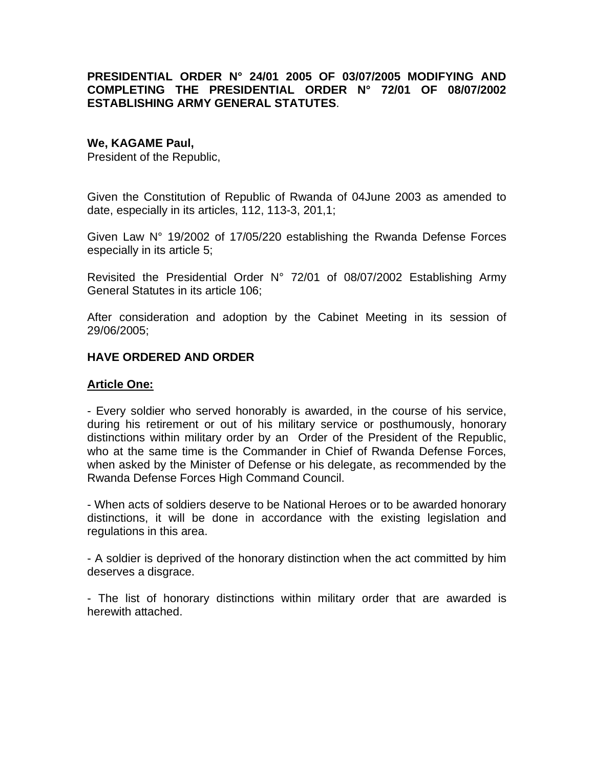# **PRESIDENTIAL ORDER N° 24/01 2005 OF 03/07/2005 MODIFYING AND COMPLETING THE PRESIDENTIAL ORDER N° 72/01 OF 08/07/2002 ESTABLISHING ARMY GENERAL STATUTES**.

#### **We, KAGAME Paul,**

President of the Republic,

Given the Constitution of Republic of Rwanda of 04June 2003 as amended to date, especially in its articles, 112, 113-3, 201,1;

Given Law N° 19/2002 of 17/05/220 establishing the Rwanda Defense Forces especially in its article 5;

Revisited the Presidential Order N° 72/01 of 08/07/2002 Establishing Army General Statutes in its article 106;

After consideration and adoption by the Cabinet Meeting in its session of 29/06/2005;

# **HAVE ORDERED AND ORDER**

### **Article One:**

- Every soldier who served honorably is awarded, in the course of his service, during his retirement or out of his military service or posthumously, honorary distinctions within military order by an Order of the President of the Republic, who at the same time is the Commander in Chief of Rwanda Defense Forces, when asked by the Minister of Defense or his delegate, as recommended by the Rwanda Defense Forces High Command Council.

- When acts of soldiers deserve to be National Heroes or to be awarded honorary distinctions, it will be done in accordance with the existing legislation and regulations in this area.

- A soldier is deprived of the honorary distinction when the act committed by him deserves a disgrace.

- The list of honorary distinctions within military order that are awarded is herewith attached.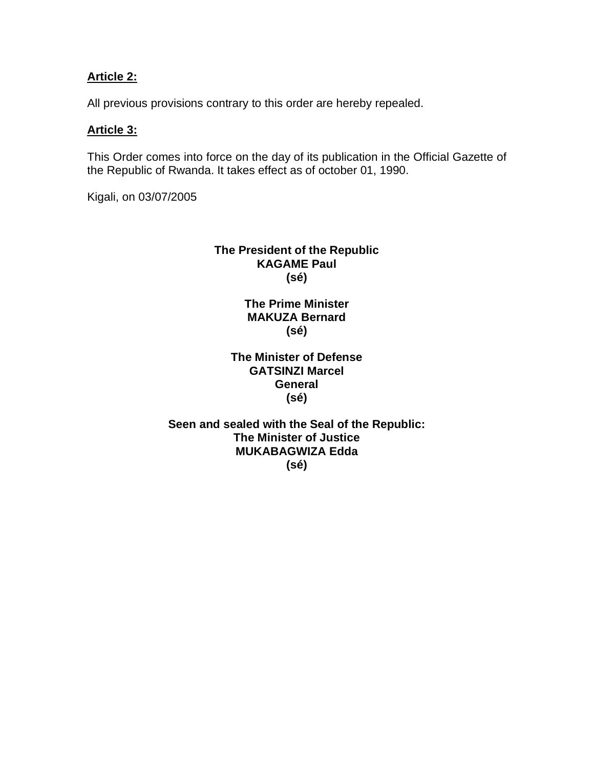# **Article 2:**

All previous provisions contrary to this order are hereby repealed.

### **Article 3:**

This Order comes into force on the day of its publication in the Official Gazette of the Republic of Rwanda. It takes effect as of october 01, 1990.

Kigali, on 03/07/2005

# **The President of the Republic KAGAME Paul (sé)**

**The Prime Minister MAKUZA Bernard (sé)** 

**The Minister of Defense GATSINZI Marcel General (sé)** 

**Seen and sealed with the Seal of the Republic: The Minister of Justice MUKABAGWIZA Edda (sé)**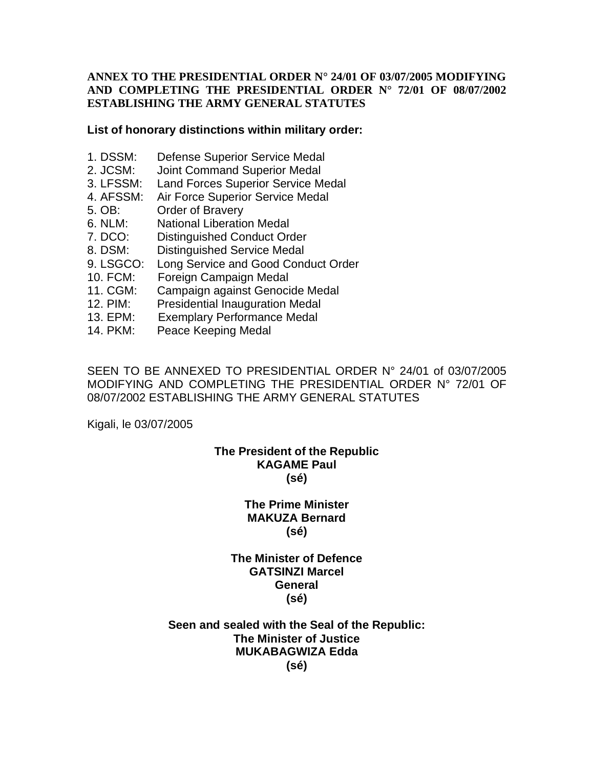### **ANNEX TO THE PRESIDENTIAL ORDER N° 24/01 OF 03/07/2005 MODIFYING AND COMPLETING THE PRESIDENTIAL ORDER N° 72/01 OF 08/07/2002 ESTABLISHING THE ARMY GENERAL STATUTES**

#### **List of honorary distinctions within military order:**

- 1. DSSM: Defense Superior Service Medal
- 2. JCSM: Joint Command Superior Medal
- 3. LFSSM: Land Forces Superior Service Medal
- 4. AFSSM: Air Force Superior Service Medal
- 5. OB: Order of Bravery
- 6. NLM: National Liberation Medal
- 7. DCO: Distinguished Conduct Order
- 8. DSM: Distinguished Service Medal
- 9. LSGCO: Long Service and Good Conduct Order
- 10. FCM: Foreign Campaign Medal
- 11. CGM: Campaign against Genocide Medal
- 12. PIM: Presidential Inauguration Medal
- 13. EPM: Exemplary Performance Medal
- 14. PKM: Peace Keeping Medal

SEEN TO BE ANNEXED TO PRESIDENTIAL ORDER N° 24/01 of 03/07/2005 MODIFYING AND COMPLETING THE PRESIDENTIAL ORDER N° 72/01 OF 08/07/2002 ESTABLISHING THE ARMY GENERAL STATUTES

Kigali, le 03/07/2005

# **The President of the Republic KAGAME Paul (sé)**

# **The Prime Minister MAKUZA Bernard (sé)**

# **The Minister of Defence GATSINZI Marcel General (sé)**

#### **Seen and sealed with the Seal of the Republic: The Minister of Justice MUKABAGWIZA Edda (sé)**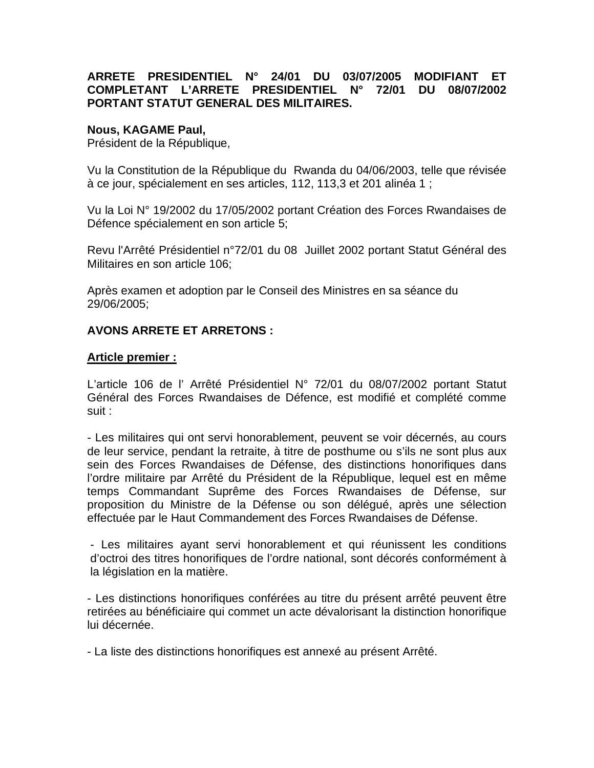# **ARRETE PRESIDENTIEL N° 24/01 DU 03/07/2005 MODIFIANT ET COMPLETANT L'ARRETE PRESIDENTIEL N° 72/01 DU 08/07/2002 PORTANT STATUT GENERAL DES MILITAIRES.**

### **Nous, KAGAME Paul,**

Président de la République,

Vu la Constitution de la République du Rwanda du 04/06/2003, telle que révisée à ce jour, spécialement en ses articles, 112, 113,3 et 201 alinéa 1 ;

Vu la Loi N° 19/2002 du 17/05/2002 portant Création des Forces Rwandaises de Défence spécialement en son article 5;

Revu l'Arrêté Présidentiel n°72/01 du 08 Juillet 2002 portant Statut Général des Militaires en son article 106;

Après examen et adoption par le Conseil des Ministres en sa séance du 29/06/2005;

# **AVONS ARRETE ET ARRETONS :**

#### **Article premier :**

L'article 106 de l' Arrêté Présidentiel N° 72/01 du 08/07/2002 portant Statut Général des Forces Rwandaises de Défence, est modifié et complété comme suit :

- Les militaires qui ont servi honorablement, peuvent se voir décernés, au cours de leur service, pendant la retraite, à titre de posthume ou s'ils ne sont plus aux sein des Forces Rwandaises de Défense, des distinctions honorifiques dans l'ordre militaire par Arrêté du Président de la République, lequel est en même temps Commandant Suprême des Forces Rwandaises de Défense, sur proposition du Ministre de la Défense ou son délégué, après une sélection effectuée par le Haut Commandement des Forces Rwandaises de Défense.

- Les militaires ayant servi honorablement et qui réunissent les conditions d'octroi des titres honorifiques de l'ordre national, sont décorés conformément à la législation en la matière.

- Les distinctions honorifiques conférées au titre du présent arrêté peuvent être retirées au bénéficiaire qui commet un acte dévalorisant la distinction honorifique lui décernée.

- La liste des distinctions honorifiques est annexé au présent Arrêté.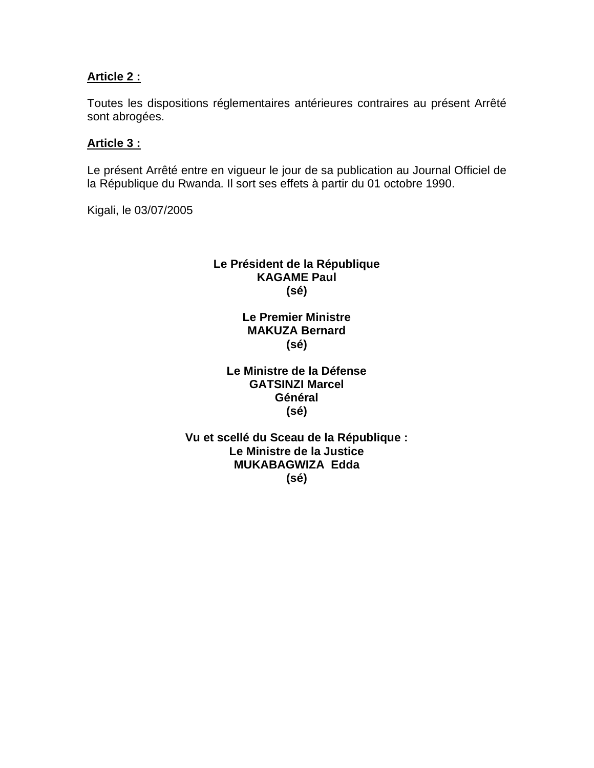# **Article 2 :**

Toutes les dispositions réglementaires antérieures contraires au présent Arrêté sont abrogées.

# **Article 3 :**

Le présent Arrêté entre en vigueur le jour de sa publication au Journal Officiel de la République du Rwanda. Il sort ses effets à partir du 01 octobre 1990.

Kigali, le 03/07/2005

# **Le Président de la République KAGAME Paul (sé)**

# **Le Premier Ministre MAKUZA Bernard (sé)**

# **Le Ministre de la Défense GATSINZI Marcel Général (sé)**

# **Vu et scellé du Sceau de la République : Le Ministre de la Justice MUKABAGWIZA Edda (sé)**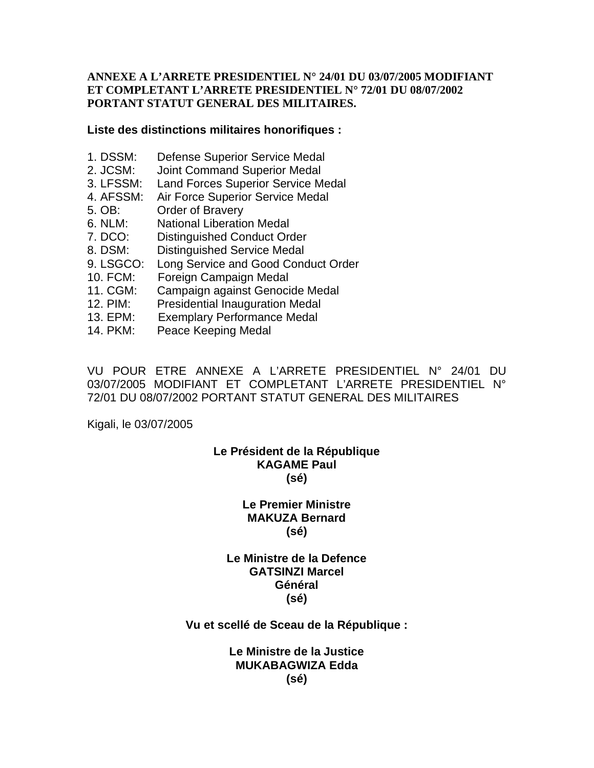### **ANNEXE A L'ARRETE PRESIDENTIEL N° 24/01 DU 03/07/2005 MODIFIANT ET COMPLETANT L'ARRETE PRESIDENTIEL N° 72/01 DU 08/07/2002 PORTANT STATUT GENERAL DES MILITAIRES.**

#### **Liste des distinctions militaires honorifiques :**

- 1. DSSM: Defense Superior Service Medal
- 2. JCSM: Joint Command Superior Medal
- 3. LFSSM: Land Forces Superior Service Medal
- 4. AFSSM: Air Force Superior Service Medal
- 5. OB: Order of Bravery
- 6. NLM: National Liberation Medal
- 7. DCO: Distinguished Conduct Order
- 8. DSM: Distinguished Service Medal
- 9. LSGCO: Long Service and Good Conduct Order
- 10. FCM: Foreign Campaign Medal
- 11. CGM: Campaign against Genocide Medal
- 12. PIM: Presidential Inauguration Medal
- 13. EPM: Exemplary Performance Medal
- 14. PKM: Peace Keeping Medal

VU POUR ETRE ANNEXE A L'ARRETE PRESIDENTIEL N° 24/01 DU 03/07/2005 MODIFIANT ET COMPLETANT L'ARRETE PRESIDENTIEL N° 72/01 DU 08/07/2002 PORTANT STATUT GENERAL DES MILITAIRES

Kigali, le 03/07/2005

# **Le Président de la République KAGAME Paul (sé)**

# **Le Premier Ministre MAKUZA Bernard (sé)**

# **Le Ministre de la Defence GATSINZI Marcel Général (sé)**

#### **Vu et scellé de Sceau de la République :**

### **Le Ministre de la Justice MUKABAGWIZA Edda (sé)**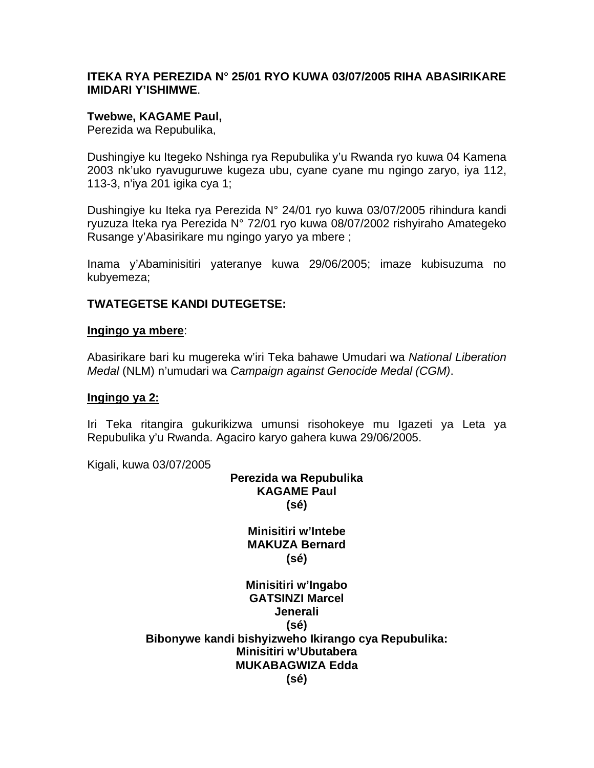### **ITEKA RYA PEREZIDA N° 25/01 RYO KUWA 03/07/2005 RIHA ABASIRIKARE IMIDARI Y'ISHIMWE**.

### **Twebwe, KAGAME Paul,**

Perezida wa Repubulika,

Dushingiye ku Itegeko Nshinga rya Repubulika y'u Rwanda ryo kuwa 04 Kamena 2003 nk'uko ryavuguruwe kugeza ubu, cyane cyane mu ngingo zaryo, iya 112, 113-3, n'iya 201 igika cya 1;

Dushingiye ku Iteka rya Perezida N° 24/01 ryo kuwa 03/07/2005 rihindura kandi ryuzuza Iteka rya Perezida N° 72/01 ryo kuwa 08/07/2002 rishyiraho Amategeko Rusange y'Abasirikare mu ngingo yaryo ya mbere ;

Inama y'Abaminisitiri yateranye kuwa 29/06/2005; imaze kubisuzuma no kubyemeza;

# **TWATEGETSE KANDI DUTEGETSE:**

#### **Ingingo ya mbere**:

Abasirikare bari ku mugereka w'iri Teka bahawe Umudari wa *National Liberation Medal* (NLM) n'umudari wa *Campaign against Genocide Medal (CGM)*.

#### **Ingingo ya 2:**

Iri Teka ritangira gukurikizwa umunsi risohokeye mu Igazeti ya Leta ya Repubulika y'u Rwanda. Agaciro karyo gahera kuwa 29/06/2005.

Kigali, kuwa 03/07/2005

# **Perezida wa Repubulika KAGAME Paul (sé)**

**Minisitiri w'Intebe MAKUZA Bernard (sé)** 

**Minisitiri w'Ingabo GATSINZI Marcel Jenerali (sé) Bibonywe kandi bishyizweho Ikirango cya Repubulika: Minisitiri w'Ubutabera MUKABAGWIZA Edda (sé)**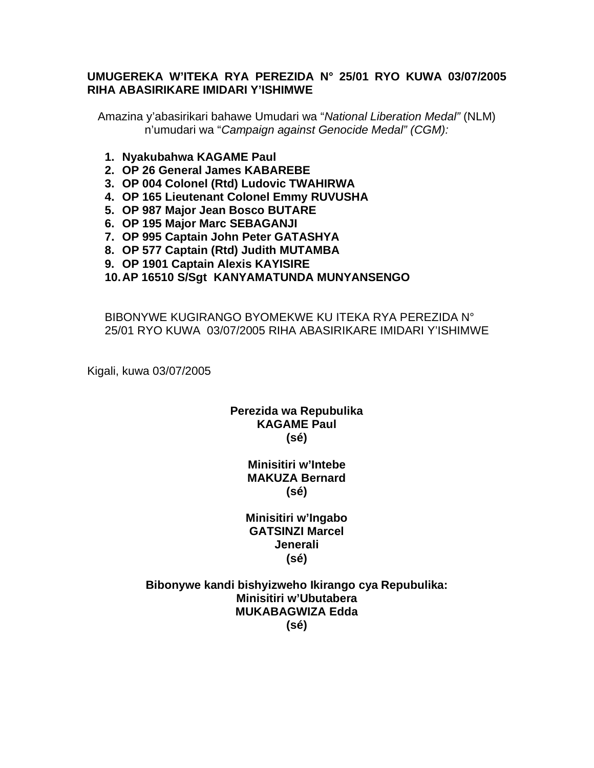# **UMUGEREKA W'ITEKA RYA PEREZIDA N° 25/01 RYO KUWA 03/07/2005 RIHA ABASIRIKARE IMIDARI Y'ISHIMWE**

Amazina y'abasirikari bahawe Umudari wa "*National Liberation Medal"* (NLM) n'umudari wa "*Campaign against Genocide Medal" (CGM):*

- **1. Nyakubahwa KAGAME Paul**
- **2. OP 26 General James KABAREBE**
- **3. OP 004 Colonel (Rtd) Ludovic TWAHIRWA**
- **4. OP 165 Lieutenant Colonel Emmy RUVUSHA**
- **5. OP 987 Major Jean Bosco BUTARE**
- **6. OP 195 Major Marc SEBAGANJI**
- **7. OP 995 Captain John Peter GATASHYA**
- **8. OP 577 Captain (Rtd) Judith MUTAMBA**
- **9. OP 1901 Captain Alexis KAYISIRE**

### **10. AP 16510 S/Sgt KANYAMATUNDA MUNYANSENGO**

BIBONYWE KUGIRANGO BYOMEKWE KU ITEKA RYA PEREZIDA N° 25/01 RYO KUWA 03/07/2005 RIHA ABASIRIKARE IMIDARI Y'ISHIMWE

Kigali, kuwa 03/07/2005

### **Perezida wa Repubulika KAGAME Paul (sé)**

### **Minisitiri w'Intebe MAKUZA Bernard (sé)**

**Minisitiri w'Ingabo GATSINZI Marcel Jenerali (sé)** 

**Bibonywe kandi bishyizweho Ikirango cya Repubulika: Minisitiri w'Ubutabera MUKABAGWIZA Edda (sé)**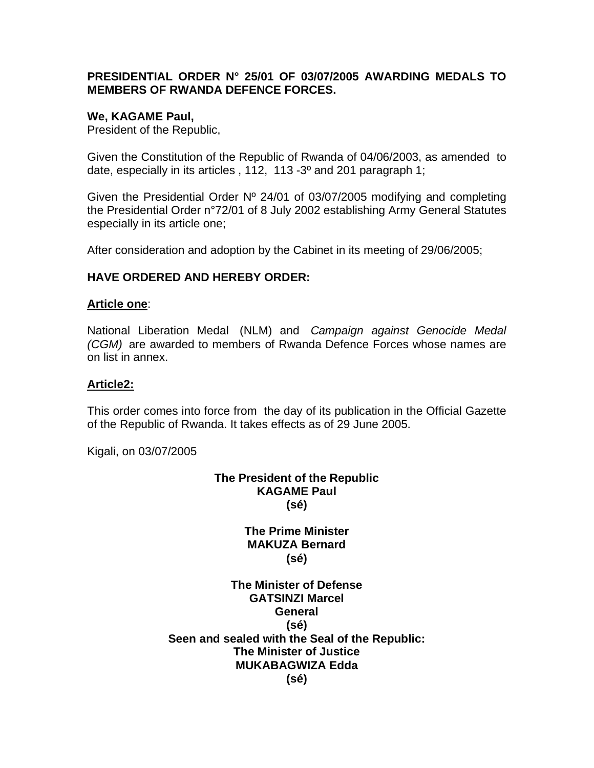# **PRESIDENTIAL ORDER N° 25/01 OF 03/07/2005 AWARDING MEDALS TO MEMBERS OF RWANDA DEFENCE FORCES.**

### **We, KAGAME Paul,**

President of the Republic,

Given the Constitution of the Republic of Rwanda of 04/06/2003, as amended to date, especially in its articles , 112, 113 -3º and 201 paragraph 1;

Given the Presidential Order Nº 24/01 of 03/07/2005 modifying and completing the Presidential Order n°72/01 of 8 July 2002 establishing Army General Statutes especially in its article one;

After consideration and adoption by the Cabinet in its meeting of 29/06/2005;

# **HAVE ORDERED AND HEREBY ORDER:**

### **Article one**:

National Liberation Medal (NLM) and *Campaign against Genocide Medal (CGM)* are awarded to members of Rwanda Defence Forces whose names are on list in annex.

### **Article2:**

This order comes into force from the day of its publication in the Official Gazette of the Republic of Rwanda. It takes effects as of 29 June 2005.

Kigali, on 03/07/2005

# **The President of the Republic KAGAME Paul (sé)**

**The Prime Minister MAKUZA Bernard (sé)** 

**The Minister of Defense GATSINZI Marcel General (sé) Seen and sealed with the Seal of the Republic: The Minister of Justice MUKABAGWIZA Edda (sé)**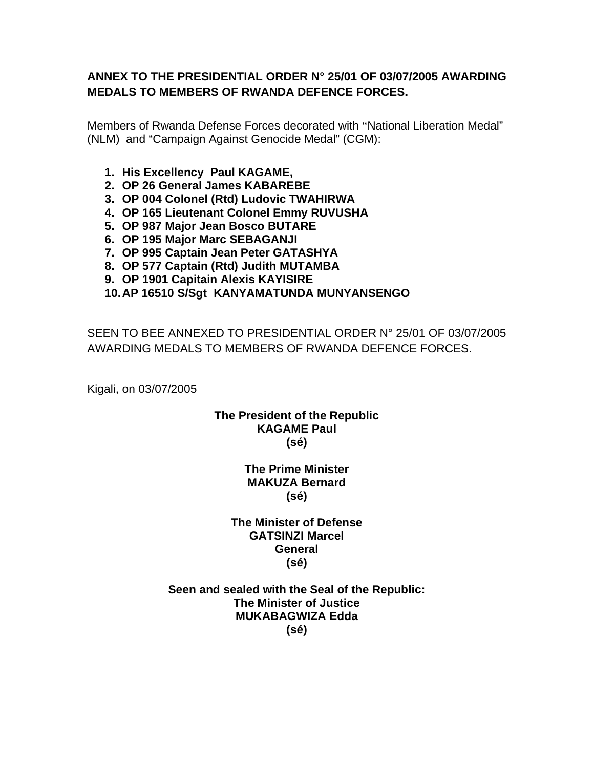# **ANNEX TO THE PRESIDENTIAL ORDER N° 25/01 OF 03/07/2005 AWARDING MEDALS TO MEMBERS OF RWANDA DEFENCE FORCES.**

Members of Rwanda Defense Forces decorated with "National Liberation Medal" (NLM) and "Campaign Against Genocide Medal" (CGM):

- **1. His Excellency Paul KAGAME,**
- **2. OP 26 General James KABAREBE**
- **3. OP 004 Colonel (Rtd) Ludovic TWAHIRWA**
- **4. OP 165 Lieutenant Colonel Emmy RUVUSHA**
- **5. OP 987 Major Jean Bosco BUTARE**
- **6. OP 195 Major Marc SEBAGANJI**
- **7. OP 995 Captain Jean Peter GATASHYA**
- **8. OP 577 Captain (Rtd) Judith MUTAMBA**
- **9. OP 1901 Capitain Alexis KAYISIRE**

# **10. AP 16510 S/Sgt KANYAMATUNDA MUNYANSENGO**

SEEN TO BEE ANNEXED TO PRESIDENTIAL ORDER N° 25/01 OF 03/07/2005 AWARDING MEDALS TO MEMBERS OF RWANDA DEFENCE FORCES.

Kigali, on 03/07/2005

# **The President of the Republic KAGAME Paul (sé)**

**The Prime Minister MAKUZA Bernard (sé)** 

**The Minister of Defense GATSINZI Marcel General (sé)** 

**Seen and sealed with the Seal of the Republic: The Minister of Justice MUKABAGWIZA Edda (sé)**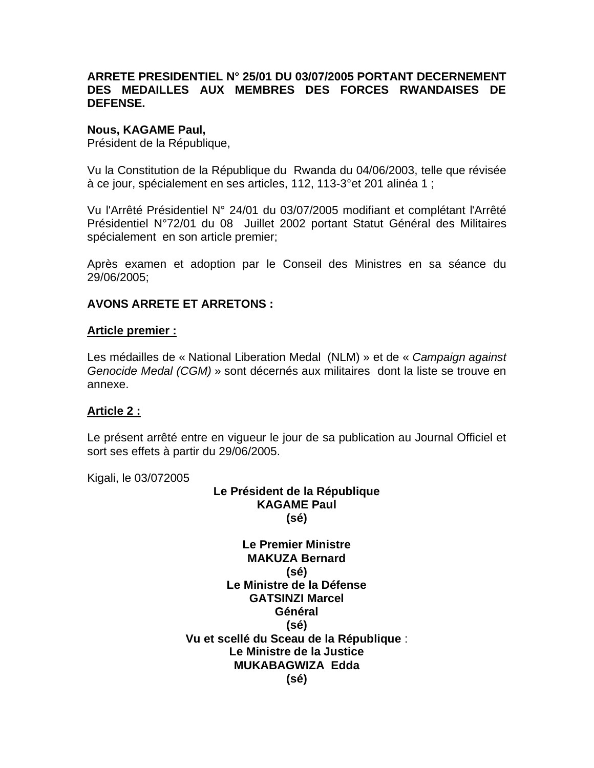# **ARRETE PRESIDENTIEL N° 25/01 DU 03/07/2005 PORTANT DECERNEMENT DES MEDAILLES AUX MEMBRES DES FORCES RWANDAISES DE DEFENSE.**

### **Nous, KAGAME Paul,**

Président de la République,

Vu la Constitution de la République du Rwanda du 04/06/2003, telle que révisée à ce jour, spécialement en ses articles, 112, 113-3°et 201 alinéa 1 ;

Vu l'Arrêté Présidentiel N° 24/01 du 03/07/2005 modifiant et complétant l'Arrêté Présidentiel N°72/01 du 08 Juillet 2002 portant Statut Général des Militaires spécialement en son article premier;

Après examen et adoption par le Conseil des Ministres en sa séance du 29/06/2005;

# **AVONS ARRETE ET ARRETONS :**

### **Article premier :**

Les médailles de « National Liberation Medal (NLM) » et de « *Campaign against Genocide Medal (CGM)* » sont décernés aux militaires dont la liste se trouve en annexe.

# **Article 2 :**

Le présent arrêté entre en vigueur le jour de sa publication au Journal Officiel et sort ses effets à partir du 29/06/2005.

Kigali, le 03/072005

# **Le Président de la République KAGAME Paul (sé)**

**Le Premier Ministre MAKUZA Bernard (sé) Le Ministre de la Défense GATSINZI Marcel Général (sé) Vu et scellé du Sceau de la République** : **Le Ministre de la Justice MUKABAGWIZA Edda (sé)**